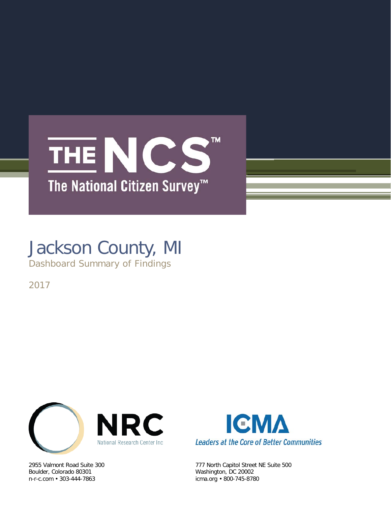## TM. THE NCS The National Citizen Survey<sup>™</sup>

## Jackson County, MI

Dashboard Summary of Findings

2017



Boulder, Colorado 80301 Washington, DC 20002



2955 Valmont Road Suite 300 777 North Capitol Street NE Suite 500 icma.org • 800-745-8780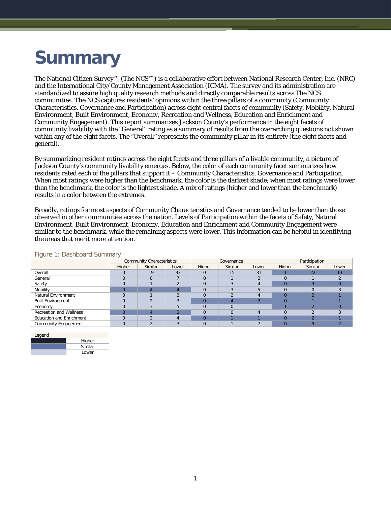# **Summary**

The National Citizen Survey™ (The NCS™) is a collaborative effort between National Research Center, Inc. (NRC) and the International City/County Management Association (ICMA). The survey and its administration are standardized to assure high quality research methods and directly comparable results across The NCS communities. The NCS captures residents' opinions within the three pillars of a community (Community Characteristics, Governance and Participation) across eight central facets of community (Safety, Mobility, Natural Environment, Built Environment, Economy, Recreation and Wellness, Education and Enrichment and Community Engagement). This report summarizes Jackson County's performance in the eight facets of community livability with the "General" rating as a summary of results from the overarching questions not shown within any of the eight facets. The "Overall" represents the community pillar in its entirety (the eight facets and general).

By summarizing resident ratings across the eight facets and three pillars of a livable community, a picture of Jackson County's community livability emerges. Below, the color of each community facet summarizes how residents rated each of the pillars that support it – Community Characteristics, Governance and Participation. When most ratings were higher than the benchmark, the color is the darkest shade; when most ratings were lower than the benchmark, the color is the lightest shade. A mix of ratings (higher and lower than the benchmark) results in a color between the extremes.

Broadly, ratings for most aspects of Community Characteristics and Governance tended to be lower than those observed in other communities across the nation. Levels of Participation within the facets of Safety, Natural Environment, Built Environment, Economy, Education and Enrichment and Community Engagement were similar to the benchmark, while the remaining aspects were lower. This information can be helpful in identifying the areas that merit more attention.

|                                 | <b>Community Characteristics</b> |         |       |        | Governance |       | Participation |         |       |  |
|---------------------------------|----------------------------------|---------|-------|--------|------------|-------|---------------|---------|-------|--|
|                                 | Higher                           | Similar | Lower | Higher | Similar    | Lower | Higher        | Similar | Lower |  |
| Overall                         |                                  | 19      | 33    |        | 15         | 31    |               | 22      | 13    |  |
| General                         |                                  |         |       |        |            |       |               |         |       |  |
| Safety                          |                                  |         |       |        |            |       |               |         |       |  |
| Mobility                        |                                  |         |       |        |            |       |               |         |       |  |
| <b>Natural Environment</b>      |                                  |         |       |        |            |       |               |         |       |  |
| <b>Built Environment</b>        |                                  |         |       |        |            |       |               |         |       |  |
| Economy                         |                                  |         |       |        |            |       |               |         |       |  |
| <b>Recreation and Wellness</b>  |                                  |         |       |        |            |       |               |         |       |  |
| <b>Education and Enrichment</b> |                                  |         |       |        |            |       |               |         |       |  |
| <b>Community Engagement</b>     |                                  |         |       |        |            |       |               |         |       |  |

Figure 1: Dashboard Summary

Legend **Higher Similar** Lower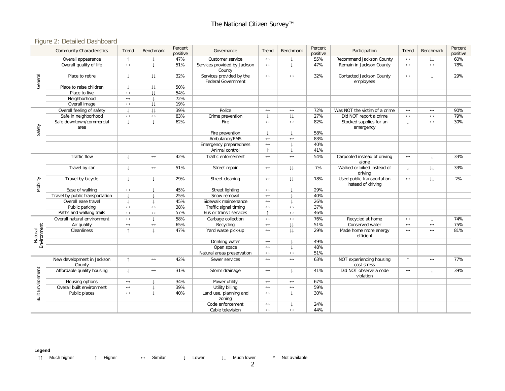### Figure 2: Detailed Dashboard

|                          | <b>Community Characteristics</b>     | Trend                 | <b>Benchmark</b>       | Percent<br>positive | Governance                                            | Trend                 | Benchmark              | Percent<br>positive                                 | Participation                                    | Trend                 | <b>Benchmark</b>  | Percent<br>positive |
|--------------------------|--------------------------------------|-----------------------|------------------------|---------------------|-------------------------------------------------------|-----------------------|------------------------|-----------------------------------------------------|--------------------------------------------------|-----------------------|-------------------|---------------------|
|                          | Overall appearance                   | $\uparrow$            |                        | 47%                 | Customer service                                      | $\longleftrightarrow$ |                        | 55%                                                 | Recommend Jackson County                         | $\leftrightarrow$     | ιı                | 60%                 |
| General                  | Overall quality of life              | $\longleftrightarrow$ | $\perp$                | 51%                 | Services provided by Jackson<br>County                | $\leftrightarrow$     |                        | 47%                                                 | Remain in Jackson County                         | $\leftrightarrow$     | $\leftrightarrow$ | 78%                 |
|                          | Place to retire                      | T                     | $\downarrow\downarrow$ | 32%                 | Services provided by the<br><b>Federal Government</b> | $\longleftrightarrow$ | $\leftrightarrow$      | 32%<br><b>Contacted Jackson County</b><br>employees |                                                  | $\longleftrightarrow$ |                   | 29%                 |
|                          | Place to raise children              |                       | $\downarrow\downarrow$ | 50%                 |                                                       |                       |                        |                                                     |                                                  |                       |                   |                     |
|                          | Place to live                        | $\longleftrightarrow$ | IJ                     | 54%                 |                                                       |                       |                        |                                                     |                                                  |                       |                   |                     |
|                          | Neighborhood                         | $\leftrightarrow$     | $\perp$                | 72%                 |                                                       |                       |                        |                                                     |                                                  |                       |                   |                     |
|                          | Overall image                        | $\longleftrightarrow$ | $\downarrow\downarrow$ | 19%                 |                                                       |                       |                        |                                                     |                                                  |                       |                   |                     |
|                          | Overall feeling of safety            |                       | $\downarrow\downarrow$ | 39%                 | Police                                                | $\longleftrightarrow$ | $\longleftrightarrow$  | 72%                                                 | Was NOT the victim of a crime                    | $\leftrightarrow$     | $\leftrightarrow$ | 90%                 |
|                          | Safe in neighborhood                 | $\longleftrightarrow$ | $\leftrightarrow$      | 83%                 | Crime prevention                                      |                       | $\downarrow\downarrow$ | 27%                                                 | Did NOT report a crime                           | $\leftrightarrow$     | $\leftrightarrow$ | 79%                 |
| Safety                   | Safe downtown/commercial<br>area     | $\perp$               | $\downarrow$           | 62%                 | Fire                                                  | $\leftrightarrow$     | $\leftrightarrow$      | 82%                                                 | Stocked supplies for an<br>emergency             |                       | $\leftrightarrow$ | 30%                 |
|                          |                                      |                       |                        |                     | Fire prevention                                       |                       |                        | 58%                                                 |                                                  |                       |                   |                     |
|                          |                                      |                       |                        |                     | Ambulance/EMS                                         | $\leftrightarrow$     | $\leftrightarrow$      | 83%                                                 |                                                  |                       |                   |                     |
|                          |                                      |                       |                        |                     | Emergency preparedness                                | $\leftrightarrow$     |                        | 40%                                                 |                                                  |                       |                   |                     |
|                          |                                      |                       |                        |                     | Animal control                                        | $\uparrow$            |                        | 41%                                                 |                                                  |                       |                   |                     |
| Mobility                 | Traffic flow                         | T                     | $\longleftrightarrow$  | 42%                 | Traffic enforcement                                   | $\longleftrightarrow$ | $\longleftrightarrow$  | 54%                                                 | Carpooled instead of driving<br>alone            | $\leftrightarrow$     | T                 | 33%                 |
|                          | Travel by car                        | $\perp$               | $\leftrightarrow$      | 51%                 | Street repair                                         | $\leftrightarrow$     | $\downarrow\downarrow$ | 7%                                                  | Walked or biked instead of<br>driving            |                       | IJ                | 33%                 |
|                          | Travel by bicycle                    | T                     | T                      | 29%                 | Street cleaning                                       | $\leftrightarrow$     | $\downarrow\downarrow$ | 18%                                                 | Used public transportation<br>instead of driving | $\leftrightarrow$     | IJ.               | 2%                  |
|                          | Ease of walking                      | $\leftrightarrow$     |                        | 45%                 | Street lighting                                       | $\leftrightarrow$     |                        | 29%                                                 |                                                  |                       |                   |                     |
|                          | Travel by public transportation      |                       |                        | 25%                 | Snow removal                                          | $\leftrightarrow$     |                        | 40%                                                 |                                                  |                       |                   |                     |
|                          | Overall ease travel                  |                       |                        | 45%                 | Sidewalk maintenance                                  | $\leftrightarrow$     |                        | 26%                                                 |                                                  |                       |                   |                     |
|                          | Public parking                       | $\leftrightarrow$     | $\leftrightarrow$      | 38%                 | Traffic signal timing                                 | $\leftrightarrow$     | $\leftrightarrow$      | 37%                                                 |                                                  |                       |                   |                     |
|                          | Paths and walking trails             | $\longleftrightarrow$ | $\leftrightarrow$      | 57%                 | Bus or transit services                               | $\uparrow$            | $\longleftrightarrow$  | 46%                                                 |                                                  |                       |                   |                     |
|                          | Overall natural environment          | $\leftrightarrow$     |                        | 58%                 | Garbage collection                                    | $\longleftrightarrow$ | $\longleftrightarrow$  | 76%                                                 | Recycled at home                                 | $\longleftrightarrow$ |                   | 74%                 |
|                          | Air quality                          | $\longleftrightarrow$ | $\leftrightarrow$      | 65%                 | Recycling                                             | $\leftrightarrow$     | IJ                     | 51%                                                 | Conserved water                                  | $\leftrightarrow$     | $\leftrightarrow$ | 75%                 |
| Environment<br>Natural   | Cleanliness                          | $\uparrow$            | $\perp$                | 47%                 | Yard waste pick-up                                    | $\leftrightarrow$     | $\downarrow\downarrow$ | 29%                                                 | Made home more energy<br>efficient               | $\leftrightarrow$     | $\leftrightarrow$ | 81%                 |
|                          |                                      |                       |                        |                     | Drinking water                                        | $\leftrightarrow$     |                        | 49%                                                 |                                                  |                       |                   |                     |
|                          |                                      |                       |                        |                     | Open space                                            | $\leftrightarrow$     |                        | 48%                                                 |                                                  |                       |                   |                     |
|                          |                                      |                       |                        |                     | Natural areas preservation                            | $\longleftrightarrow$ | $\longleftrightarrow$  | 51%                                                 |                                                  |                       |                   |                     |
|                          | New development in Jackson<br>County | $\uparrow$            | $\longleftrightarrow$  | 42%                 | Sewer services                                        | $\leftrightarrow$     | $\longleftrightarrow$  | 63%                                                 | NOT experiencing housing<br>cost stress          | $\uparrow$            | $\leftrightarrow$ | 77%                 |
|                          | Affordable quality housing           | J.                    | $\longleftrightarrow$  | 31%                 | Storm drainage                                        | $\longleftrightarrow$ | $\perp$                | 41%                                                 | Did NOT observe a code<br>violation              | $\leftrightarrow$     | T                 | 39%                 |
| <b>Built Environment</b> | Housing options                      | $\leftrightarrow$     |                        | 34%                 | Power utility                                         | $\leftrightarrow$     | $\leftrightarrow$      | 67%                                                 |                                                  |                       |                   |                     |
|                          | Overall built environment            | $\leftrightarrow$     |                        | 39%                 | Utility billing                                       | $\leftrightarrow$     | $\longleftrightarrow$  | 59%                                                 |                                                  |                       |                   |                     |
|                          | Public places                        | $\longleftrightarrow$ |                        | 40%                 | Land use, planning and<br>zoning                      | $\leftrightarrow$     | $\perp$                | 30%                                                 |                                                  |                       |                   |                     |
|                          |                                      |                       |                        |                     | Code enforcement                                      | $\longleftrightarrow$ |                        | 24%                                                 |                                                  |                       |                   |                     |
|                          |                                      |                       |                        |                     | Cable television                                      | $\leftrightarrow$     | $\leftrightarrow$      | 44%                                                 |                                                  |                       |                   |                     |

#### **Legend**

↑↑ Much higher ↑ Higher ↔ Similar ↓ Lower ↓↓ Much lower \* Not available

2